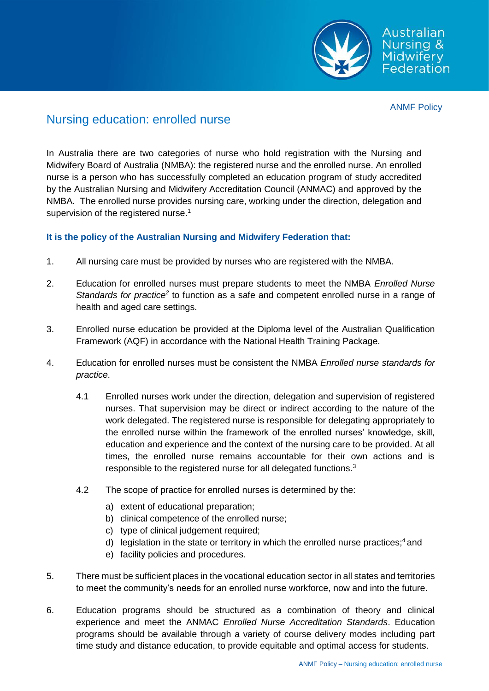

ANMF Policy

## Nursing education: enrolled nurse

In Australia there are two categories of nurse who hold registration with the Nursing and Midwifery Board of Australia (NMBA): the registered nurse and the enrolled nurse. An enrolled nurse is a person who has successfully completed an education program of study accredited by the Australian Nursing and Midwifery Accreditation Council (ANMAC) and approved by the NMBA. The enrolled nurse provides nursing care, working under the direction, delegation and supervision of the registered nurse.<sup>1</sup>

## **It is the policy of the Australian Nursing and Midwifery Federation that:**

- 1. All nursing care must be provided by nurses who are registered with the NMBA.
- 2. Education for enrolled nurses must prepare students to meet the NMBA *Enrolled Nurse* Standards for practice<sup>2</sup> to function as a safe and competent enrolled nurse in a range of health and aged care settings.
- 3. Enrolled nurse education be provided at the Diploma level of the Australian Qualification Framework (AQF) in accordance with the National Health Training Package.
- 4. Education for enrolled nurses must be consistent the NMBA *Enrolled nurse standards for practice*.
	- 4.1 Enrolled nurses work under the direction, delegation and supervision of registered nurses. That supervision may be direct or indirect according to the nature of the work delegated. The registered nurse is responsible for delegating appropriately to the enrolled nurse within the framework of the enrolled nurses' knowledge, skill, education and experience and the context of the nursing care to be provided. At all times, the enrolled nurse remains accountable for their own actions and is responsible to the registered nurse for all delegated functions.<sup>3</sup>
	- 4.2 The scope of practice for enrolled nurses is determined by the:
		- a) extent of educational preparation;
		- b) clinical competence of the enrolled nurse;
		- c) type of clinical judgement required;
		- d) legislation in the state or territory in which the enrolled nurse practices;<sup>4</sup> and
		- e) facility policies and procedures.
- 5. There must be sufficient places in the vocational education sector in all states and territories to meet the community's needs for an enrolled nurse workforce, now and into the future.
- 6. Education programs should be structured as a combination of theory and clinical experience and meet the ANMAC *Enrolled Nurse Accreditation Standards*. Education programs should be available through a variety of course delivery modes including part time study and distance education, to provide equitable and optimal access for students.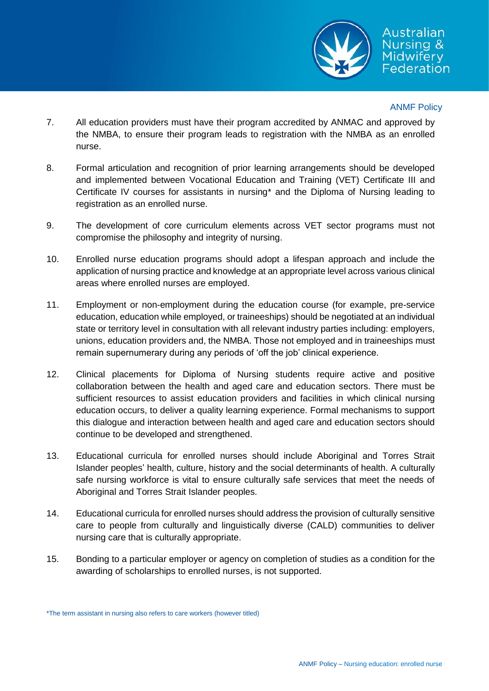

## ANMF Policy

- 7. All education providers must have their program accredited by ANMAC and approved by the NMBA, to ensure their program leads to registration with the NMBA as an enrolled nurse.
- 8. Formal articulation and recognition of prior learning arrangements should be developed and implemented between Vocational Education and Training (VET) Certificate III and Certificate IV courses for assistants in nursing\* and the Diploma of Nursing leading to registration as an enrolled nurse.
- 9. The development of core curriculum elements across VET sector programs must not compromise the philosophy and integrity of nursing.
- 10. Enrolled nurse education programs should adopt a lifespan approach and include the application of nursing practice and knowledge at an appropriate level across various clinical areas where enrolled nurses are employed.
- 11. Employment or non-employment during the education course (for example, pre-service education, education while employed, or traineeships) should be negotiated at an individual state or territory level in consultation with all relevant industry parties including: employers, unions, education providers and, the NMBA. Those not employed and in traineeships must remain supernumerary during any periods of 'off the job' clinical experience.
- 12. Clinical placements for Diploma of Nursing students require active and positive collaboration between the health and aged care and education sectors. There must be sufficient resources to assist education providers and facilities in which clinical nursing education occurs, to deliver a quality learning experience. Formal mechanisms to support this dialogue and interaction between health and aged care and education sectors should continue to be developed and strengthened.
- 13. Educational curricula for enrolled nurses should include Aboriginal and Torres Strait Islander peoples' health, culture, history and the social determinants of health. A culturally safe nursing workforce is vital to ensure culturally safe services that meet the needs of Aboriginal and Torres Strait Islander peoples.
- 14. Educational curricula for enrolled nurses should address the provision of culturally sensitive care to people from culturally and linguistically diverse (CALD) communities to deliver nursing care that is culturally appropriate.
- 15. Bonding to a particular employer or agency on completion of studies as a condition for the awarding of scholarships to enrolled nurses, is not supported.

<sup>\*</sup>The term assistant in nursing also refers to care workers (however titled)